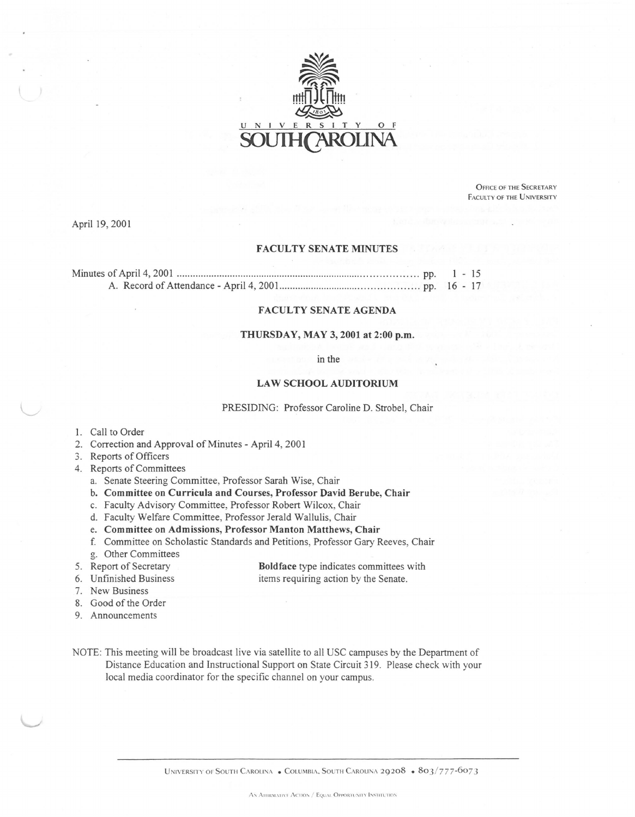

OFFICE OF THE SECRETARY FACULTY OF THE UNIVERSITY

April 19, 2001

### FACULTY SENATE MINUTES

## FACULTY SENATE AGENDA

## THURSDAY, MAY 3, 2001 at 2:00 p.m.

in the

#### LAW SCHOOL AUDITORIUM

PRESIDING: Professor Caroline D. Strobel, Chair

- 1. Call to Order
- 2. Correction and Approval of Minutes April 4, 2001
- 3. Reports of Officers
- 4. Reports of Committees
	- a. Senate Steering Committee, Professor Sarah Wise, Chair
	- b. Committee on Curricula and Courses, Professor David Berube, Chair
	- c. Faculty Advisory Committee, Professor Robert Wilcox, Chair
	- d. Faculty Welfare Committee, Professor Jerald Wallulis, Chair
	- e. Committee on Admissions, Professor Manton Matthews, Chair
	- f. Committee on Scholastic Standards and Petitions, Professor Gary Reeves, Chair
	- g. Other Committees
- 5. Report of Secretary

Boldface type indicates committees with items requiring action by the Senate.

- 6. Unfinished Business 7. New Business
- 8. Good of the Order
- 9. Announcements
- NOTE: This meeting will be broadcast live via satellite to all USC campuses by the Department of Distance Education and Instructional Support on State Circuit 319. Please check with your local media coordinator for the specific channel on your campus.